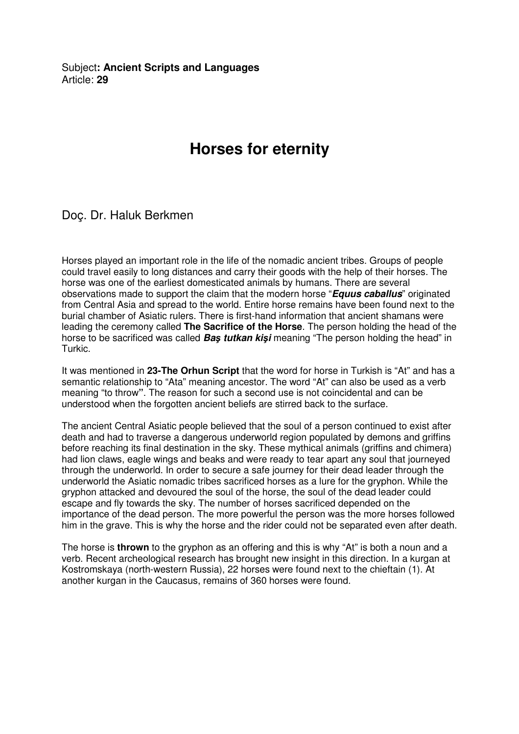Subject**: Ancient Scripts and Languages**  Article: **29**

## **Horses for eternity**

Doç. Dr. Haluk Berkmen

Horses played an important role in the life of the nomadic ancient tribes. Groups of people could travel easily to long distances and carry their goods with the help of their horses. The horse was one of the earliest domesticated animals by humans. There are several observations made to support the claim that the modern horse "**Equus caballus**" originated from Central Asia and spread to the world. Entire horse remains have been found next to the burial chamber of Asiatic rulers. There is first-hand information that ancient shamans were leading the ceremony called **The Sacrifice of the Horse**. The person holding the head of the horse to be sacrificed was called **Ba**ş **tutkan ki**ş**i** meaning "The person holding the head" in Turkic.

It was mentioned in **23-The Orhun Script** that the word for horse in Turkish is "At" and has a semantic relationship to "Ata" meaning ancestor. The word "At" can also be used as a verb meaning "to throw**"**. The reason for such a second use is not coincidental and can be understood when the forgotten ancient beliefs are stirred back to the surface.

The ancient Central Asiatic people believed that the soul of a person continued to exist after death and had to traverse a dangerous underworld region populated by demons and griffins before reaching its final destination in the sky. These mythical animals (griffins and chimera) had lion claws, eagle wings and beaks and were ready to tear apart any soul that journeyed through the underworld. In order to secure a safe journey for their dead leader through the underworld the Asiatic nomadic tribes sacrificed horses as a lure for the gryphon. While the gryphon attacked and devoured the soul of the horse, the soul of the dead leader could escape and fly towards the sky. The number of horses sacrificed depended on the importance of the dead person. The more powerful the person was the more horses followed him in the grave. This is why the horse and the rider could not be separated even after death.

The horse is **thrown** to the gryphon as an offering and this is why "At" is both a noun and a verb. Recent archeological research has brought new insight in this direction. In a kurgan at Kostromskaya (north-western Russia), 22 horses were found next to the chieftain (1). At another kurgan in the Caucasus, remains of 360 horses were found.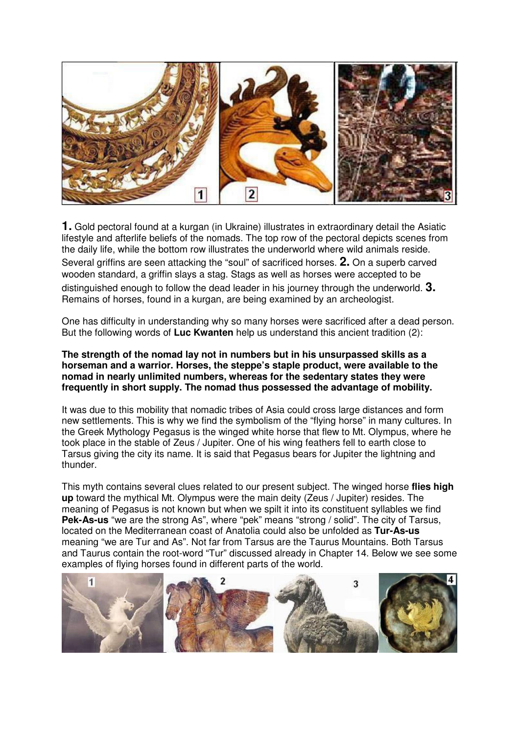

**1.** Gold pectoral found at a kurgan (in Ukraine) illustrates in extraordinary detail the Asiatic lifestyle and afterlife beliefs of the nomads. The top row of the pectoral depicts scenes from the daily life, while the bottom row illustrates the underworld where wild animals reside. Several griffins are seen attacking the "soul" of sacrificed horses. **2.** On a superb carved wooden standard, a griffin slays a stag. Stags as well as horses were accepted to be distinguished enough to follow the dead leader in his journey through the underworld. **3.** Remains of horses, found in a kurgan, are being examined by an archeologist.

One has difficulty in understanding why so many horses were sacrificed after a dead person. But the following words of **Luc Kwanten** help us understand this ancient tradition (2):

## **The strength of the nomad lay not in numbers but in his unsurpassed skills as a horseman and a warrior. Horses, the steppe's staple product, were available to the nomad in nearly unlimited numbers, whereas for the sedentary states they were frequently in short supply. The nomad thus possessed the advantage of mobility.**

It was due to this mobility that nomadic tribes of Asia could cross large distances and form new settlements. This is why we find the symbolism of the "flying horse" in many cultures. In the Greek Mythology Pegasus is the winged white horse that flew to Mt. Olympus, where he took place in the stable of Zeus / Jupiter. One of his wing feathers fell to earth close to Tarsus giving the city its name. It is said that Pegasus bears for Jupiter the lightning and thunder.

This myth contains several clues related to our present subject. The winged horse **flies high up** toward the mythical Mt. Olympus were the main deity (Zeus / Jupiter) resides. The meaning of Pegasus is not known but when we spilt it into its constituent syllables we find **Pek-As-us** "we are the strong As", where "pek" means "strong / solid". The city of Tarsus, located on the Mediterranean coast of Anatolia could also be unfolded as **Tur-As-us** meaning "we are Tur and As". Not far from Tarsus are the Taurus Mountains. Both Tarsus and Taurus contain the root-word "Tur" discussed already in Chapter 14. Below we see some examples of flying horses found in different parts of the world.